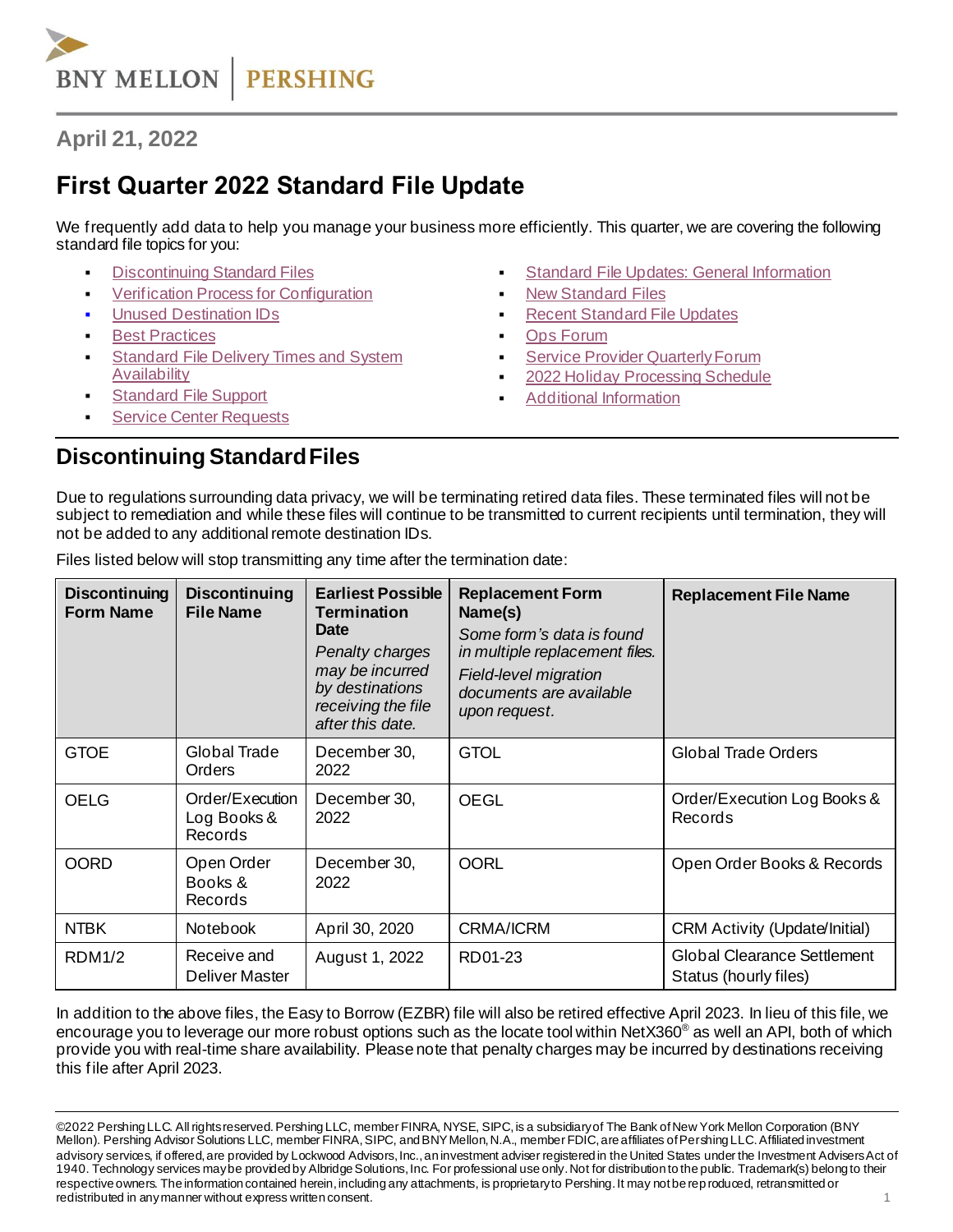

# **April 21, 2022**

# **First Quarter 2022 Standard File Update**

We frequently add data to help you manage your business more efficiently. This quarter, we are covering the following standard file topics for you:

- **[Discontinuing Standard Files](#page-0-0)**
- [Verification Process for Configuration](#page-1-0)
- **[Unused Destination IDs](#page-1-1)**
- **[Best Practices](#page-1-2)**
- **Standard File Delivery Times and System [Availability](#page-1-3)**
- **[Standard File Support](#page-1-4)**
- **[Service Center Requests](#page-1-5)**
- **[Standard File Updates: General Information](#page-2-0)**
- **[New Standard Files](#page-2-1)**
- **[Recent Standard](#page-2-2) File Updates**
- **Ops [Forum](#page-3-0)**
- **Service Provider Quarterly Forum**
- [2022 Holiday Processing Schedule](#page-3-2)
- **[Additional Information](#page-4-0)**

#### <span id="page-0-0"></span>**Discontinuing Standard Files**

Due to regulations surrounding data privacy, we will be terminating retired data files. These terminated files will not be subject to remediation and while these files will continue to be transmitted to current recipients until termination, they will not be added to any additional remote destination IDs.

| <b>Discontinuing</b><br><b>Form Name</b> | <b>Discontinuing</b><br><b>File Name</b>  | <b>Earliest Possible</b><br><b>Termination</b><br><b>Date</b><br><b>Penalty charges</b><br>may be incurred<br>by destinations<br>receiving the file<br>after this date. | <b>Replacement Form</b><br>Name(s)<br>Some form's data is found<br>in multiple replacement files.<br><b>Field-level migration</b><br>documents are available<br>upon request. | <b>Replacement File Name</b>                                |
|------------------------------------------|-------------------------------------------|-------------------------------------------------------------------------------------------------------------------------------------------------------------------------|-------------------------------------------------------------------------------------------------------------------------------------------------------------------------------|-------------------------------------------------------------|
| <b>GTOE</b>                              | Global Trade<br><b>Orders</b>             | December 30,<br>2022                                                                                                                                                    | <b>GTOL</b>                                                                                                                                                                   | Global Trade Orders                                         |
| <b>OELG</b>                              | Order/Execution<br>Log Books &<br>Records | December 30,<br>2022                                                                                                                                                    | <b>OEGL</b>                                                                                                                                                                   | Order/Execution Log Books &<br>Records                      |
| <b>OORD</b>                              | Open Order<br>Books &<br>Records          | December 30,<br>2022                                                                                                                                                    | <b>OORL</b>                                                                                                                                                                   | Open Order Books & Records                                  |
| <b>NTBK</b>                              | <b>Notebook</b>                           | April 30, 2020                                                                                                                                                          | <b>CRMA/ICRM</b>                                                                                                                                                              | <b>CRM Activity (Update/Initial)</b>                        |
| <b>RDM1/2</b>                            | Receive and<br>Deliver Master             | August 1, 2022                                                                                                                                                          | RD01-23                                                                                                                                                                       | <b>Global Clearance Settlement</b><br>Status (hourly files) |

Files listed below will stop transmitting any time after the termination date:

In addition to the above files, the Easy to Borrow (EZBR) file will also be retired effective April 2023. In lieu of this file, we encourage you to leverage our more robust options such as the locate tool within NetX360<sup>®</sup> as well an API, both of which provide you with real-time share availability. Please note that penalty charges may be incurred by destinations receiving this file after April 2023.

<sup>©2022</sup> Pershing LLC. All rights reserved. Pershing LLC, member FINRA, NYSE, SIPC, is a subsidiary of The Bank of New York Mellon Corporation (BNY Mellon). Pershing Advisor Solutions LLC, member FINRA, SIPC, and BNY Mellon, N.A., member FDIC, are affiliates of Pershing LLC.Affiliated investment advisory services, if offered, are provided by Lockwood Advisors, Inc., an investment adviser registered in the United States under the Investment Advisers Act of 1940. Technology services may be provided by Albridge Solutions, Inc. For professional use only. Not for distribution to the public. Trademark(s) belong to their respective owners. The information contained herein, including any attachments, is proprietary to Pershing. It may not be rep roduced, retransmitted or redistributed in any manner without express written consent. 1 and 2 and 2 and 2 and 2 and 2 and 2 and 2 and 2 and 2 and 2 and 2 and 2 and 2 and 2 and 2 and 2 and 2 and 2 and 2 and 2 and 2 and 2 and 2 and 2 and 2 and 2 and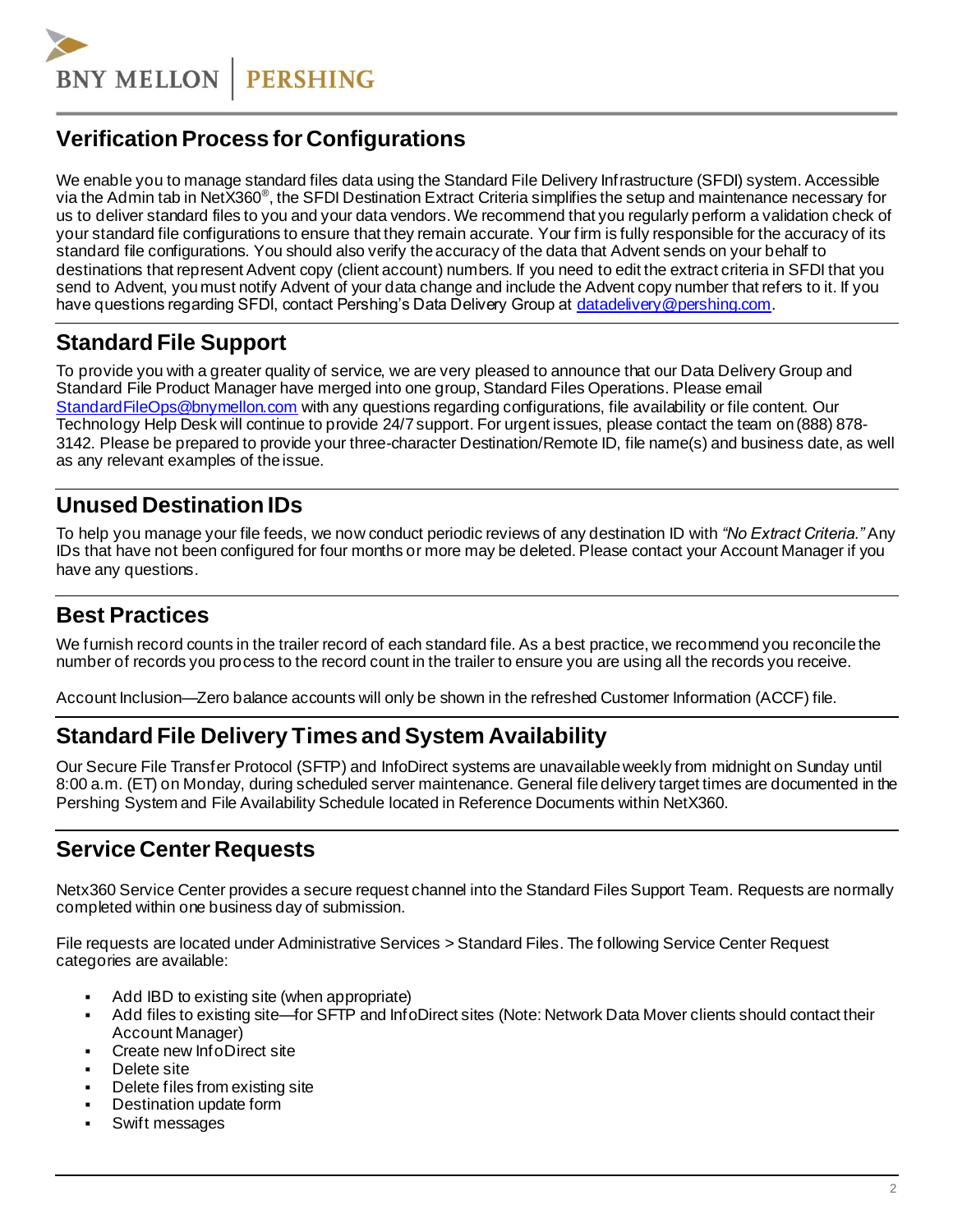**BNY MELLON PERSHING** 

# <span id="page-1-0"></span>**Verification Process for Configurations**

We enable you to manage standard files data using the Standard File Delivery Infrastructure (SFDI) system. Accessible via the Admin tab in NetX360<sup>®</sup>, the SFDI Destination Extract Criteria simplifies the setup and maintenance necessary for us to deliver standard files to you and your data vendors. We recommend that you regularly perform a validation check of your standard file configurations to ensure that they remain accurate. Your firm is fully responsible for the accuracy of its standard file configurations. You should also verify the accuracy of the data that Advent sends on your behalf to destinations that represent Advent copy (client account) numbers. If you need to edit the extract criteria in SFDI that you send to Advent, you must notify Advent of your data change and include the Advent copy number that refers to it. If you have questions regarding SFDI, contact Pershing's Data Delivery Group at [datadelivery@pershing.com](mailto:datadelivery@pershing.com).

# <span id="page-1-4"></span>**Standard File Support**

To provide you with a greater quality of service, we are very pleased to announce that our Data Delivery Group and Standard File Product Manager have merged into one group, Standard Files Operations. Please email [StandardFileOps@bnymellon.com](mailto:StandardFileOps@bnymellon.com) with any questions regarding configurations, file availability or file content. Our Technology Help Desk will continue to provide 24/7 support. For urgent issues, please contact the team on (888) 878- 3142. Please be prepared to provide your three-character Destination/Remote ID, file name(s) and business date, as well as any relevant examples of the issue.

### <span id="page-1-1"></span>**Unused Destination IDs**

To help you manage your file feeds, we now conduct periodic reviews of any destination ID with *"No Extract Criteria."* Any IDs that have not been configured for four months or more may be deleted. Please contact your Account Manager if you have any questions.

### <span id="page-1-2"></span>**Best Practices**

We furnish record counts in the trailer record of each standard file. As a best practice, we recommend you reconcile the number of records you process to the record count in the trailer to ensure you are using all the records you receive.

<span id="page-1-3"></span>Account Inclusion—Zero balance accounts will only be shown in the refreshed Customer Information (ACCF) file.

## **Standard File Delivery Times and System Availability**

Our Secure File Transfer Protocol (SFTP) and InfoDirect systems are unavailable weekly from midnight on Sunday until 8:00 a.m. (ET) on Monday, during scheduled server maintenance. General file delivery target times are documented in the Pershing System and File Availability Schedule located in Reference Documents within NetX360.

#### <span id="page-1-5"></span>**Service Center Requests**

Netx360 Service Center provides a secure request channel into the Standard Files Support Team. Requests are normally completed within one business day of submission.

File requests are located under Administrative Services > Standard Files. The following Service Center Request categories are available:

- Add IBD to existing site (when appropriate)
- Add files to existing site—for SFTP and InfoDirect sites (Note: Network Data Mover clients should contact their Account Manager)
- Create new InfoDirect site
- Delete site
- Delete files from existing site
- Destination update form
- Swift messages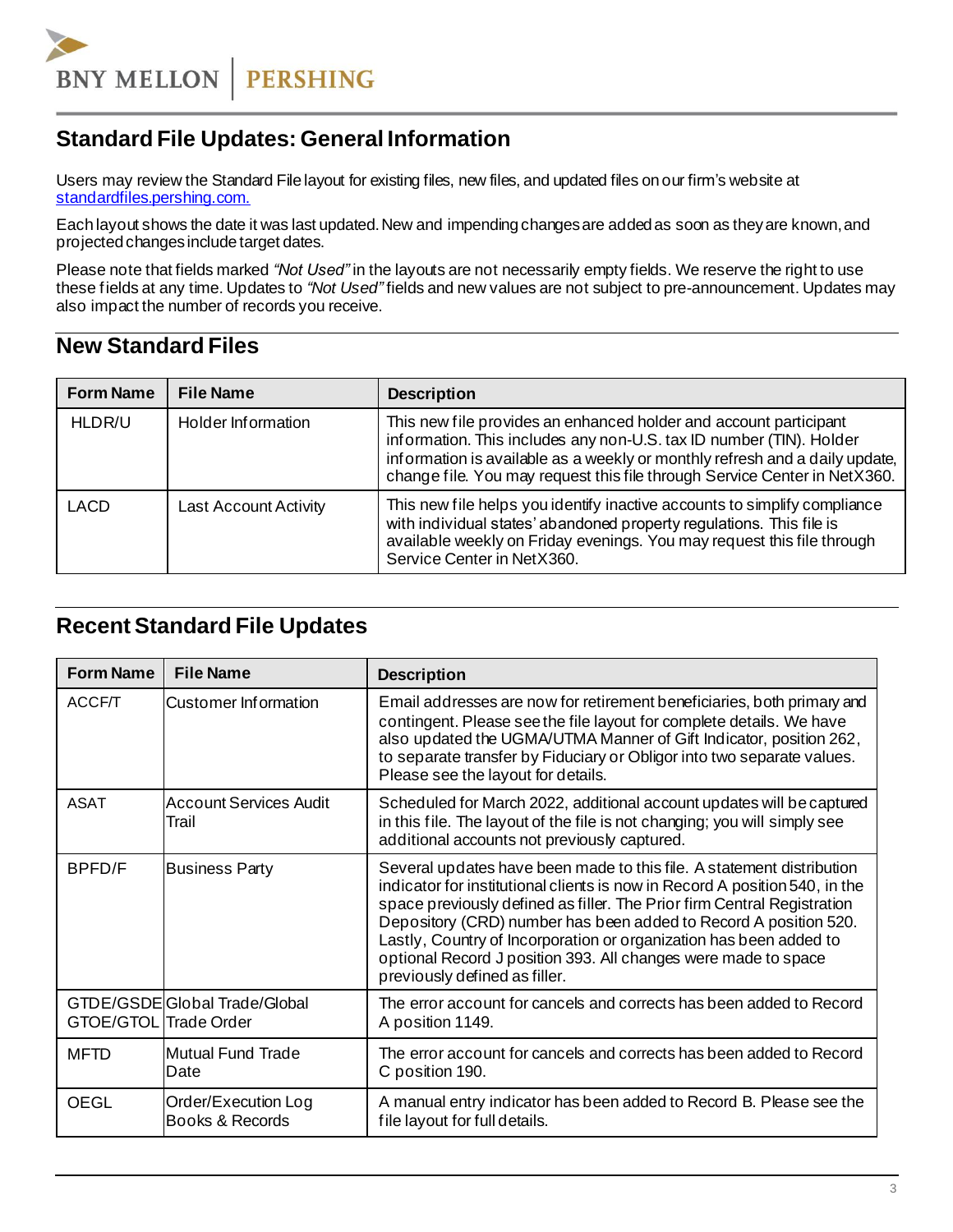

# <span id="page-2-0"></span>**Standard File Updates: General Information**

Users may review the Standard File layout for existing files, new files, and updated files onour firm's website at [standardfiles.pershing.com.](https://standardfiles.pershing.com/home/-/categories/275237?cat=275237)

Each layout shows the date it was last updated. New and impending changes are added as soon as they are known, and projected changes include target dates.

Please note that fields marked *"Not Used"* in the layouts are not necessarily empty fields. We reserve the right to use these fields at any time. Updates to *"Not Used"* fields and new values are not subject to pre-announcement. Updates may also impact the number of records you receive.

#### <span id="page-2-1"></span>**New Standard Files**

| <b>Form Name</b> | <b>File Name</b>             | <b>Description</b>                                                                                                                                                                                                                                                                                   |
|------------------|------------------------------|------------------------------------------------------------------------------------------------------------------------------------------------------------------------------------------------------------------------------------------------------------------------------------------------------|
| HLDR/U           | Holder Information           | This new file provides an enhanced holder and account participant<br>information. This includes any non-U.S. tax ID number (TIN). Holder<br>information is available as a weekly or monthly refresh and a daily update,<br>change file. You may request this file through Service Center in NetX360. |
| LACD             | <b>Last Account Activity</b> | This new file helps you identify inactive accounts to simplify compliance<br>with individual states' abandoned property regulations. This file is<br>available weekly on Friday evenings. You may request this file through<br>Service Center in NetX360.                                            |

#### <span id="page-2-2"></span>**Recent Standard File Updates**

| <b>Form Name</b>      | <b>File Name</b>                       | <b>Description</b>                                                                                                                                                                                                                                                                                                                                                                                                                                                           |  |
|-----------------------|----------------------------------------|------------------------------------------------------------------------------------------------------------------------------------------------------------------------------------------------------------------------------------------------------------------------------------------------------------------------------------------------------------------------------------------------------------------------------------------------------------------------------|--|
| ACCF/T                | Customer Information                   | Email addresses are now for retirement beneficiaries, both primary and<br>contingent. Please see the file layout for complete details. We have<br>also updated the UGMA/UTMA Manner of Gift Indicator, position 262,<br>to separate transfer by Fiduciary or Obligor into two separate values.<br>Please see the layout for details.                                                                                                                                         |  |
| <b>ASAT</b>           | Account Services Audit<br>Trail        | Scheduled for March 2022, additional account updates will be captured<br>in this file. The layout of the file is not changing; you will simply see<br>additional accounts not previously captured.                                                                                                                                                                                                                                                                           |  |
| BPFD/F                | <b>Business Party</b>                  | Several updates have been made to this file. A statement distribution<br>indicator for institutional clients is now in Record A position 540, in the<br>space previously defined as filler. The Prior firm Central Registration<br>Depository (CRD) number has been added to Record A position 520.<br>Lastly, Country of Incorporation or organization has been added to<br>optional Record J position 393. All changes were made to space<br>previously defined as filler. |  |
| GTOE/GTOL Trade Order | GTDE/GSDEGIobal Trade/Global           | The error account for cancels and corrects has been added to Record<br>A position 1149.                                                                                                                                                                                                                                                                                                                                                                                      |  |
| <b>MFTD</b>           | Mutual Fund Trade<br>Date              | The error account for cancels and corrects has been added to Record<br>C position 190.                                                                                                                                                                                                                                                                                                                                                                                       |  |
| <b>OEGL</b>           | Order/Execution Log<br>Books & Records | A manual entry indicator has been added to Record B. Please see the<br>file layout for full details.                                                                                                                                                                                                                                                                                                                                                                         |  |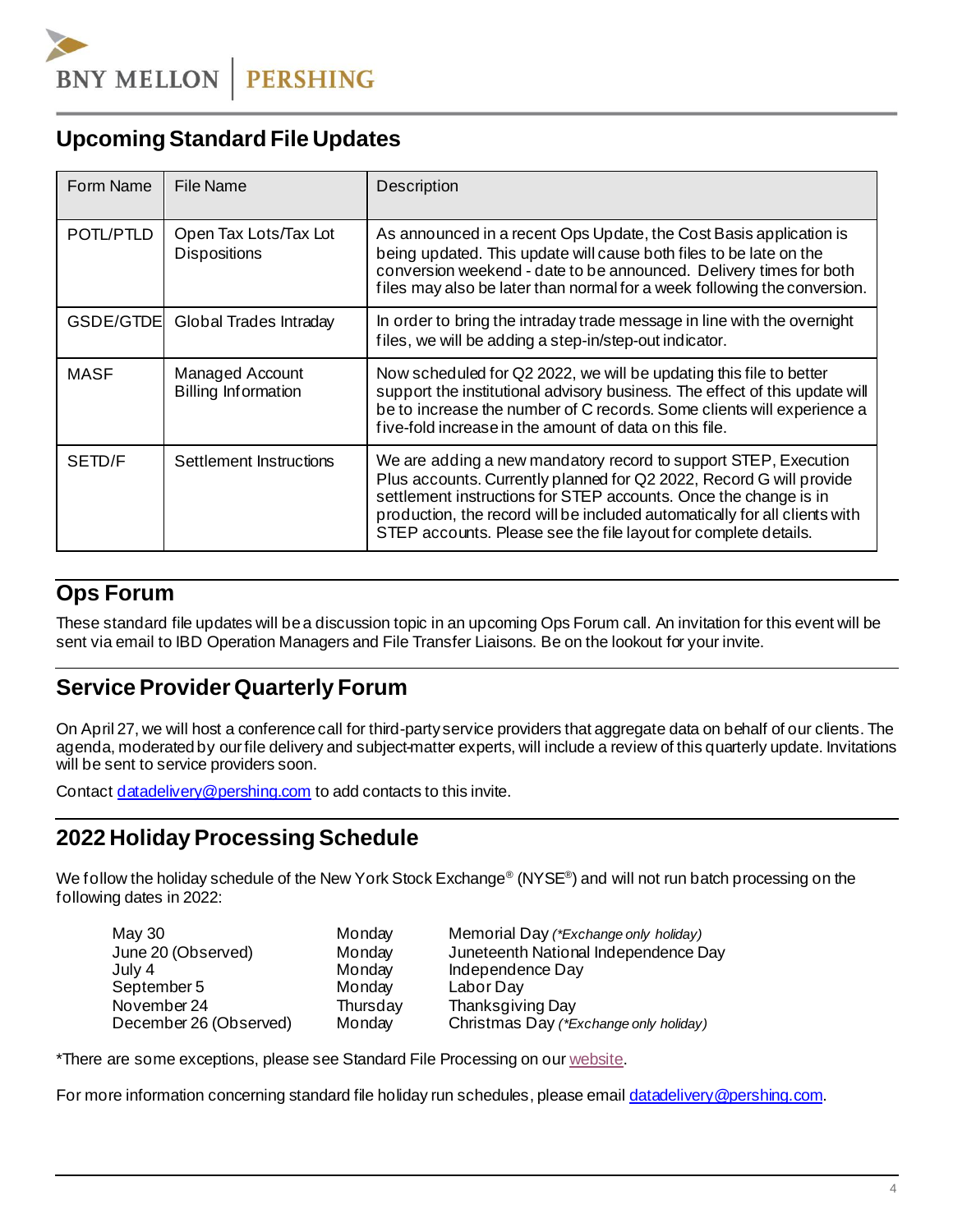# **Upcoming Standard File Updates**

| Form Name   | File Name                                     | Description                                                                                                                                                                                                                                                                                                                                                 |  |
|-------------|-----------------------------------------------|-------------------------------------------------------------------------------------------------------------------------------------------------------------------------------------------------------------------------------------------------------------------------------------------------------------------------------------------------------------|--|
| POTL/PTLD   | Open Tax Lots/Tax Lot<br><b>Dispositions</b>  | As announced in a recent Ops Update, the Cost Basis application is<br>being updated. This update will cause both files to be late on the<br>conversion weekend - date to be announced. Delivery times for both<br>files may also be later than normal for a week following the conversion.                                                                  |  |
| GSDE/GTDEI  | Global Trades Intraday                        | In order to bring the intraday trade message in line with the overnight<br>files, we will be adding a step-in/step-out indicator.                                                                                                                                                                                                                           |  |
| <b>MASF</b> | Managed Account<br><b>Billing Information</b> | Now scheduled for Q2 2022, we will be updating this file to better<br>support the institutional advisory business. The effect of this update will<br>be to increase the number of C records. Some clients will experience a<br>five-fold increase in the amount of data on this file.                                                                       |  |
| SETD/F      | Settlement Instructions                       | We are adding a new mandatory record to support STEP, Execution<br>Plus accounts. Currently planned for Q2 2022, Record G will provide<br>settlement instructions for STEP accounts. Once the change is in<br>production, the record will be included automatically for all clients with<br>STEP accounts. Please see the file layout for complete details. |  |

### <span id="page-3-0"></span>**Ops Forum**

These standard file updates will bea discussion topic in an upcoming Ops Forum call. An invitation for this event will be sent via email to IBD Operation Managers and File Transfer Liaisons. Be on the lookout for your invite.

# <span id="page-3-1"></span>**ServiceProvider Quarterly Forum**

On April 27, we will host a conferencecall for third-partyservice providers that aggregate data on behalf of our clients. The agenda, moderated by ourfile delivery and subject-matter experts, will include a review of this quarterly update. Invitations will be sent to service providers soon.

Contac[t datadelivery@pershing.com](mailto:datadelivery@pershing.com%20or) to add contacts to this invite.

## <span id="page-3-2"></span>**2022 HolidayProcessing Schedule**

We follow the holiday schedule of the New York Stock Exchange® (NYSE®) and will not run batch processing on the following dates in 2022:

| May 30                 | Monday   | Memorial Day (*Exchange only holiday)  |
|------------------------|----------|----------------------------------------|
| June 20 (Observed)     | Monday   | Juneteenth National Independence Day   |
| July 4                 | Monday   | Independence Day                       |
| September 5            | Monday   | Labor Day                              |
| November 24            | Thursday | Thanksgiving Day                       |
| December 26 (Observed) | Monday   | Christmas Day (*Exchange only holiday) |

\*There are some exceptions, please see Standard File Processing on our [website](https://communications.pershing.com/reader/pershing/pershing-standard-file-holiday-processing-2022).

For more information concerning standard file holiday run schedules, please emai[l datadelivery@pershing.com](mailto:datadelivery@pershing.com).